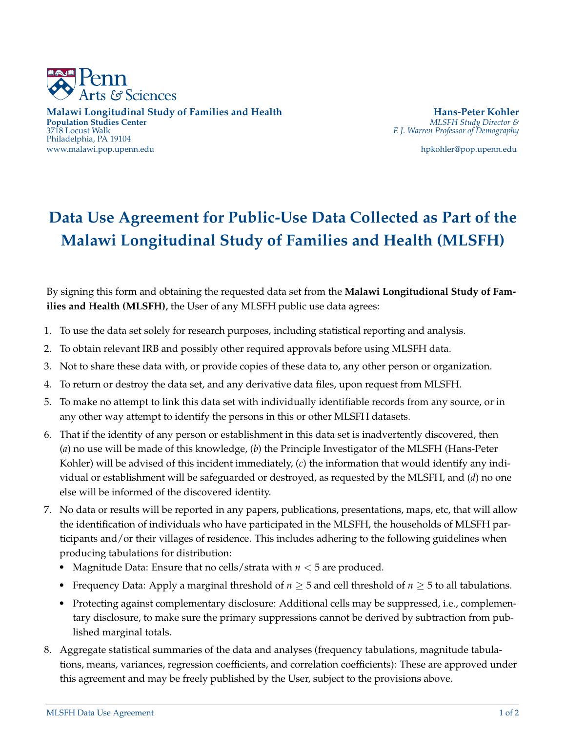

**Malawi Longitudinal Study of Families and Health Hans-Peter Kohler Population Studies Center** 3718 Locust Walk Philadelphia, PA 19104 www.malawi.pop.upenn.edu hpkohler@pop.upenn.edu

3718 Locust Walk *F. J. Warren Professor of Demography*

## **Data Use Agreement for Public-Use Data Collected as Part of the Malawi Longitudinal Study of Families and Health (MLSFH)**

By signing this form and obtaining the requested data set from the **Malawi Longitudional Study of Families and Health (MLSFH)**, the User of any MLSFH public use data agrees:

- 1. To use the data set solely for research purposes, including statistical reporting and analysis.
- 2. To obtain relevant IRB and possibly other required approvals before using MLSFH data.
- 3. Not to share these data with, or provide copies of these data to, any other person or organization.
- 4. To return or destroy the data set, and any derivative data files, upon request from MLSFH.
- 5. To make no attempt to link this data set with individually identifiable records from any source, or in any other way attempt to identify the persons in this or other MLSFH datasets.
- 18 (*a*) no use will be made of this knowledge, (*b*) the Principle Investigator of the MLSFH (Hans-Peter 6. That if the identity of any person or establishment in this data set is inadvertently discovered, then Kohler) will be advised of this incident immediately, (*c*) the information that would identify any individual or establishment will be safeguarded or destroyed, as requested by the MLSFH, and (*d*) no one else will be informed of the discovered identity.
- 7. No data or results will be reported in any papers, publications, presentations, maps, etc, that will allow the identification of individuals who have participated in the MLSFH, the households of MLSFH participants and/or their villages of residence. This includes adhering to the following guidelines when producing tabulations for distribution:
	- Magnitude Data: Ensure that no cells/strata with *n* < 5 are produced.
	- Frequency Data: Apply a marginal threshold of  $n > 5$  and cell threshold of  $n > 5$  to all tabulations.
	- Protecting against complementary disclosure: Additional cells may be suppressed, i.e., complementary disclosure, to make sure the primary suppressions cannot be derived by subtraction from published marginal totals.
- 8. Aggregate statistical summaries of the data and analyses (frequency tabulations, magnitude tabulations, means, variances, regression coefficients, and correlation coefficients): These are approved under this agreement and may be freely published by the User, subject to the provisions above.